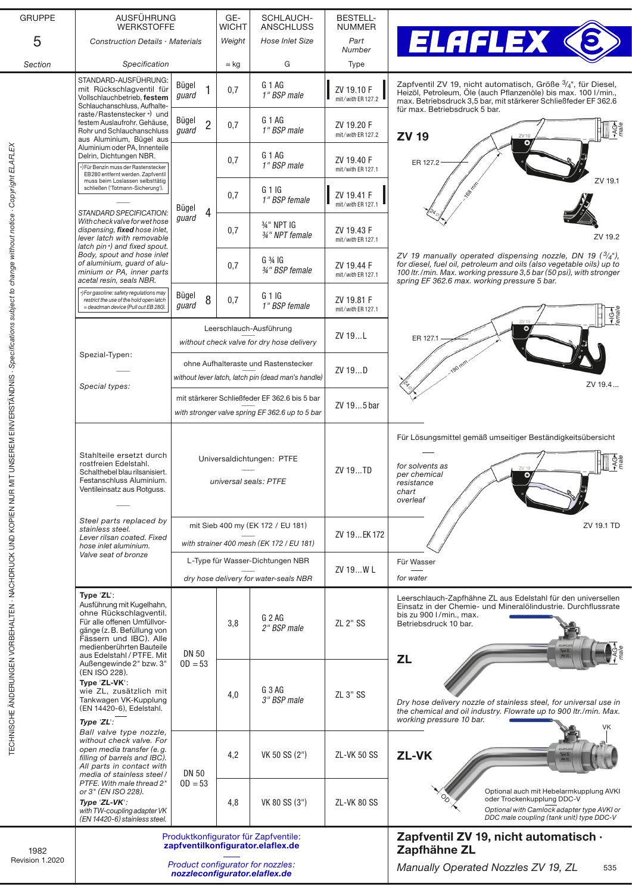| <b>GRUPPE</b>                                                                                                  | AUSFÜHRUNG<br><b>WERKSTOFFE</b>                                                                                                                                                                                                                                                                                                                      |                                                                           | GE-<br>WICHT | SCHLAUCH-<br><b>ANSCHLUSS</b>                                                                    | <b>BESTELL-</b><br><b>NUMMER</b> |                                                                                                                                                                                                                                                                     |
|----------------------------------------------------------------------------------------------------------------|------------------------------------------------------------------------------------------------------------------------------------------------------------------------------------------------------------------------------------------------------------------------------------------------------------------------------------------------------|---------------------------------------------------------------------------|--------------|--------------------------------------------------------------------------------------------------|----------------------------------|---------------------------------------------------------------------------------------------------------------------------------------------------------------------------------------------------------------------------------------------------------------------|
| 5                                                                                                              | Construction Details · Materials                                                                                                                                                                                                                                                                                                                     |                                                                           | Weight       | <b>Hose Inlet Size</b>                                                                           | Part<br>Number                   | <b>ELAFLEX (S</b>                                                                                                                                                                                                                                                   |
| Section                                                                                                        | Specification                                                                                                                                                                                                                                                                                                                                        |                                                                           | $\approx$ kg | G                                                                                                | Type                             |                                                                                                                                                                                                                                                                     |
|                                                                                                                | STANDARD-AUSFÜHRUNG:<br>mit Rückschlagventil für<br>Vollschlauchbetrieb, festem<br>Schlauchanschluss, Aufhalte-<br>raste/Rastenstecker*) und<br>festem Auslaufrohr. Gehäuse,<br>Rohr und Schlauchanschluss<br>aus Aluminium, Bügel aus                                                                                                               | Bügel<br>guard                                                            | 0,7          | G <sub>1</sub> AG<br>1" BSP male                                                                 | ZV 19.10 F<br>mit/with ER 127.2  | Zapfventil ZV 19, nicht automatisch, Größe 3/4", für Diesel,<br>Heizöl, Petroleum, Öle (auch Pflanzenöle) bis max. 100 I/min.,<br>max. Betriebsdruck 3,5 bar, mit stärkerer Schließfeder EF 362.6                                                                   |
|                                                                                                                |                                                                                                                                                                                                                                                                                                                                                      | Bügel<br>$\overline{2}$<br>quard                                          | 0,7          | G 1 AG<br>1" BSP male                                                                            | ZV 19.20 F<br>mit/with ER 127.2  | für max. Betriebsdruck 5 bar.<br>$rac{4}{3}$<br><b>ZV 19</b><br>ZV 19                                                                                                                                                                                               |
|                                                                                                                | Aluminium oder PA, Innenteile<br>Delrin, Dichtungen NBR.<br>*) Für Benzin muss der Rastenstecker<br>EB280 entfernt werden. Zapfventil                                                                                                                                                                                                                |                                                                           | 0,7          | G <sub>1</sub> AG<br>1" BSP male                                                                 | ZV 19.40 F<br>mit/with ER 127.1  | ER 127.2                                                                                                                                                                                                                                                            |
|                                                                                                                | muss beim Loslassen selbsttätig<br>schließen ('Totmann-Sicherung').<br>STANDARD SPECIFICATION:<br>With check valve for wet hose<br>dispensing, fixed hose inlet,<br>lever latch with removable<br>latch pin*) and fixed spout.<br>Body, spout and hose inlet<br>of aluminium, guard of alu-<br>minium or PA, inner parts<br>acetal resin, seals NBR. | Bügel<br>4                                                                | 0,7          | G 1 IG<br>1" BSP female                                                                          | ZV 19.41 F<br>mit/with ER 127.1  | ZV 19.1                                                                                                                                                                                                                                                             |
|                                                                                                                |                                                                                                                                                                                                                                                                                                                                                      | guard                                                                     | 0,7          | 3/4" NPT IG<br>34" NPT female                                                                    | ZV 19.43 F<br>mit/with ER 127.1  | ZV 19.2                                                                                                                                                                                                                                                             |
|                                                                                                                |                                                                                                                                                                                                                                                                                                                                                      |                                                                           | 0,7          | G <sup>3</sup> 4IG<br>34" BSP female                                                             | ZV 19.44 F<br>mit/with ER 127.1  | ZV 19 manually operated dispensing nozzle, DN 19 ( $\frac{3}{4}$ "),<br>for diesel, fuel oil, petroleum and oils (also vegetable oils) up to<br>100 ltr./min. Max. working pressure 3.5 bar (50 psi), with stronger<br>spring EF 362.6 max. working pressure 5 bar. |
|                                                                                                                | *) For gasoline: safety regulations may<br>restrict the use of the hold open latch<br>= deadman device (Pull out EB 280).                                                                                                                                                                                                                            | Bügel<br>8<br>quard                                                       | 0,7          | G 1IG<br>1" BSP female                                                                           | ZV 19.81 F<br>mit/with ER 127.1  | $\frac{1}{1}$ G $\rightarrow$                                                                                                                                                                                                                                       |
|                                                                                                                | Spezial-Typen:                                                                                                                                                                                                                                                                                                                                       |                                                                           |              | Leerschlauch-Ausführung<br>without check valve for dry hose delivery                             | ZV 19L                           | $\bullet$<br>ER 127.                                                                                                                                                                                                                                                |
|                                                                                                                | Special types:                                                                                                                                                                                                                                                                                                                                       |                                                                           |              | ohne Aufhalteraste und Rastenstecker<br>without lever latch, latch pin (dead man's handle)       | ZV 19D                           | ZV 19.4                                                                                                                                                                                                                                                             |
|                                                                                                                |                                                                                                                                                                                                                                                                                                                                                      |                                                                           |              | mit stärkerer Schließfeder EF 362.6 bis 5 bar<br>with stronger valve spring EF 362.6 up to 5 bar | ZV 195 bar                       |                                                                                                                                                                                                                                                                     |
| UNDEREN EINVERFEN UNIVERSITE WIRD OF GENERALIGEN SOMEROOM OF THE STREET OF THE STREET STREET SOMETIME IS THE S | Stahlteile ersetzt durch<br>rostfreien Edelstahl.<br>Schalthebel blau rilsanisiert.<br>Festanschluss Aluminium.<br>Ventileinsatz aus Rotguss.                                                                                                                                                                                                        |                                                                           |              | Universaldichtungen: PTFE<br>universal seals: PTFE                                               | ZV 19TD                          | Für Lösungsmittel gemäß umseitiger Beständigkeitsübersicht<br>$\frac{1}{2}$<br>for solvents as<br>ZV 19<br>per chemical<br>O<br>resistance<br>chart<br>overleaf                                                                                                     |
|                                                                                                                | Steel parts replaced by<br>stainless steel.<br>Lever rilsan coated. Fixed                                                                                                                                                                                                                                                                            | mit Sieb 400 my (EK 172 / EU 181)                                         |              |                                                                                                  | ZV 19EK 172                      | ZV 19.1 TD                                                                                                                                                                                                                                                          |
|                                                                                                                | hose inlet aluminium.<br>Valve seat of bronze                                                                                                                                                                                                                                                                                                        |                                                                           |              | with strainer 400 mesh (EK 172 / EU 181)                                                         |                                  |                                                                                                                                                                                                                                                                     |
|                                                                                                                |                                                                                                                                                                                                                                                                                                                                                      | L-Type für Wasser-Dichtungen NBR<br>dry hose delivery for water-seals NBR |              |                                                                                                  | ZV 19W L                         | Für Wasser<br>for water                                                                                                                                                                                                                                             |
|                                                                                                                | Type 'ZL':<br>Ausführung mit Kugelhahn,<br>ohne Rückschlagventil.<br>Für alle offenen Umfüllvor-<br>gänge (z. B. Befüllung von<br>Fässern und IBC). Alle<br>medienberührten Bauteile                                                                                                                                                                 | <b>DN 50</b>                                                              | 3,8          | G <sub>2</sub> AG<br>2" BSP male                                                                 | <b>ZL 2" SS</b>                  | Leerschlauch-Zapfhähne ZL aus Edelstahl für den universellen<br>Einsatz in der Chemie- und Mineralölindustrie. Durchflussrate<br>bis zu 900 l/min., max.<br>Betriebsdruck 10 bar.                                                                                   |
|                                                                                                                | aus Edelstahl / PTFE. Mit<br>Außengewinde 2" bzw. 3"<br>(EN ISO 228).<br>Type 'ZL-VK':<br>wie ZL, zusätzlich mit<br>Tankwagen VK-Kupplung<br>(EN 14420-6), Edelstahl.                                                                                                                                                                                | $OD = 53$                                                                 | 4,0          | G 3 AG<br>3" BSP male                                                                            | ZL 3" SS                         | <b>ZL</b><br>Dry hose delivery nozzle of stainless steel, for universal use in<br>the chemical and oil industry. Flowrate up to 900 ltr./min. Max.<br>working pressure 10 bar.                                                                                      |
|                                                                                                                | Type 'ZL':<br>Ball valve type nozzle,<br>without check valve. For<br>open media transfer (e.g.<br>filling of barrels and IBC).<br>All parts in contact with<br>media of stainless steel /                                                                                                                                                            | <b>DN 50</b>                                                              | 4,2          | VK 50 SS (2")                                                                                    | <b>ZL-VK 50 SS</b>               | VK<br>ZL-VK                                                                                                                                                                                                                                                         |
|                                                                                                                | PTFE. With male thread 2"<br>or 3" (EN ISO 228).<br>Type 'ZL-VK':<br>with TW-coupling adapter VK<br>(EN 14420-6) stainless steel.                                                                                                                                                                                                                    | $OD = 53$                                                                 | 4,8          | VK 80 SS (3")                                                                                    | ZL-VK 80 SS                      | Optional auch mit Hebelarmkupplung AVKI<br>oder Trockenkupplung DDC-V<br>Optional with Camlock adapter type AVKI or<br>DDC male coupling (tank unit) type DDC-V                                                                                                     |
|                                                                                                                |                                                                                                                                                                                                                                                                                                                                                      |                                                                           |              | Produktkonfigurator für Zapfventile:<br>zapfventilkonfigurator.elaflex.de                        |                                  | Zapfventil ZV 19, nicht automatisch ·<br>Zapfhähne ZL                                                                                                                                                                                                               |
| 1982<br>Revision 1.2020                                                                                        | Product configurator for nozzles:<br>nozzleconfigurator.elaflex.de                                                                                                                                                                                                                                                                                   |                                                                           |              |                                                                                                  |                                  | Manually Operated Nozzles ZV 19, ZL<br>535                                                                                                                                                                                                                          |
|                                                                                                                |                                                                                                                                                                                                                                                                                                                                                      |                                                                           |              |                                                                                                  |                                  |                                                                                                                                                                                                                                                                     |